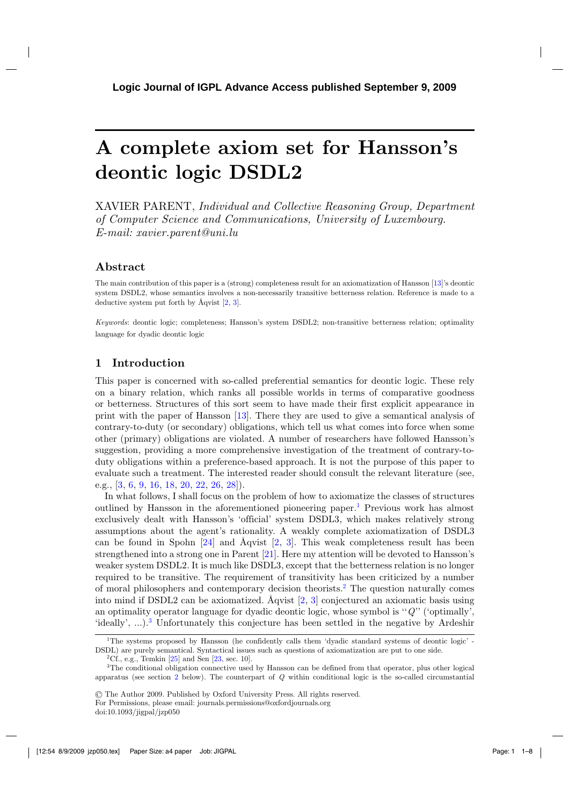# **A complete axiom set for Hansson's deontic logic DSDL2**

XAVIER PARENT, *Individual and Collective Reasoning Group, Department of Computer Science and Communications, University of Luxembourg. E-mail: xavier.parent@uni.lu*

# **Abstract**

The main contribution of this paper is a (strong) completeness result for an axiomatization of Hansson [\[13](#page-6-0)]'s deontic system DSDL2, whose semantics involves a non-necessarily transitive betterness relation. Reference is made to a deductive system put forth by Åqvist [\[2,](#page-6-0) [3](#page-6-0)].

*Keywords*: deontic logic; completeness; Hansson's system DSDL2; non-transitive betterness relation; optimality language for dyadic deontic logic

# **1 Introduction**

This paper is concerned with so-called preferential semantics for deontic logic. These rely on a binary relation, which ranks all possible worlds in terms of comparative goodness or betterness. Structures of this sort seem to have made their first explicit appearance in print with the paper of Hansson [\[13](#page-6-0)]. There they are used to give a semantical analysis of contrary-to-duty (or secondary) obligations, which tell us what comes into force when some other (primary) obligations are violated. A number of researchers have followed Hansson's suggestion, providing a more comprehensive investigation of the treatment of contrary-toduty obligations within a preference-based approach. It is not the purpose of this paper to evaluate such a treatment. The interested reader should consult the relevant literature (see, e.g., [\[3](#page-6-0), [6](#page-6-0), [9](#page-6-0), [16](#page-6-0), [18](#page-6-0), [20](#page-6-0), [22](#page-7-0), [26](#page-7-0), [28](#page-7-0)]).

In what follows, I shall focus on the problem of how to axiomatize the classes of structures outlined by Hansson in the aforementioned pioneering paper.<sup>1</sup> Previous work has almost exclusively dealt with Hansson's 'official' system DSDL3, which makes relatively strong assumptions about the agent's rationality. A weakly complete axiomatization of DSDL3 can be found in Spohn  $[24]$  and Åqvist  $[2, 3]$  $[2, 3]$  $[2, 3]$  $[2, 3]$ . This weak completeness result has been strengthened into a strong one in Parent [\[21](#page-6-0)]. Here my attention will be devoted to Hansson's weaker system DSDL2. It is much like DSDL3, except that the betterness relation is no longer required to be transitive. The requirement of transitivity has been criticized by a number of moral philosophers and contemporary decision theorists.2 The question naturally comes into mind if DSDL2 can be axiomatized. Åqvist [\[2,](#page-6-0) [3\]](#page-6-0) conjectured an axiomatic basis using an optimality operator language for dyadic deontic logic, whose symbol is ''*Q*'' ('optimally', 'ideally', ...).<sup>3</sup> Unfortunately this conjecture has been settled in the negative by Ardeshir

<sup>&</sup>lt;sup>1</sup>The systems proposed by Hansson (he confidently calls them 'dyadic standard systems of deontic logic' -DSDL) are purely semantical. Syntactical issues such as questions of axiomatization are put to one side.

<sup>&</sup>lt;sup>2</sup>Cf., e.g., Temkin  $[25]$  and Sen  $[23, \text{sec. } 10]$ .

<sup>3</sup>The conditional obligation connective used by Hansson can be defined from that operator, plus other logical apparatus (see section [2](#page-1-0) below). The counterpart of *Q* within conditional logic is the so-called circumstantial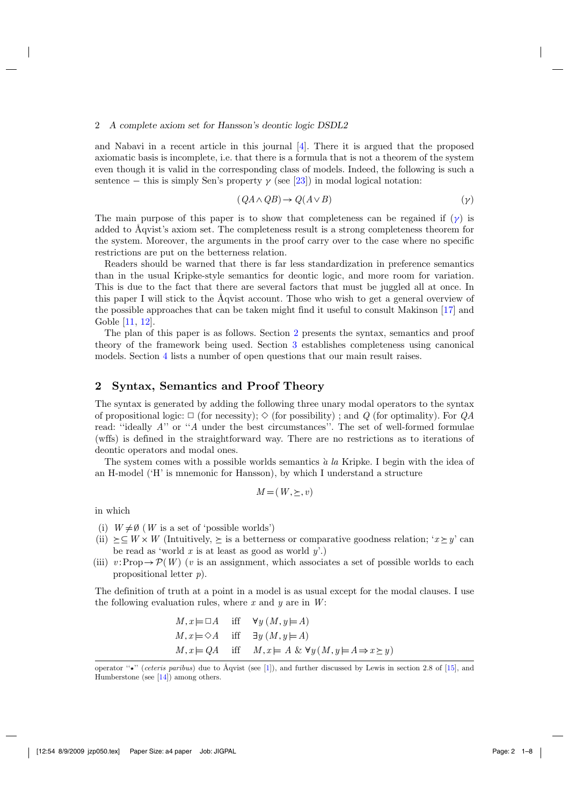#### <span id="page-1-0"></span>2 *A complete axiom set for Hansson's deontic logic DSDL2*

and Nabavi in a recent article in this journal [\[4\]](#page-6-0). There it is argued that the proposed axiomatic basis is incomplete, i.e. that there is a formula that is not a theorem of the system even though it is valid in the corresponding class of models. Indeed, the following is such a sentence – this is simply Sen's property  $\gamma$  (see [\[23](#page-7-0)]) in modal logical notation:

$$
(QA \land QB) \to Q(A \lor B) \tag{γ}
$$

The main purpose of this paper is to show that completeness can be regained if  $(\gamma)$  is added to Åqvist's axiom set. The completeness result is a strong completeness theorem for the system. Moreover, the arguments in the proof carry over to the case where no specific restrictions are put on the betterness relation.

Readers should be warned that there is far less standardization in preference semantics than in the usual Kripke-style semantics for deontic logic, and more room for variation. This is due to the fact that there are several factors that must be juggled all at once. In this paper I will stick to the Åqvist account. Those who wish to get a general overview of the possible approaches that can be taken might find it useful to consult Makinson [\[17\]](#page-6-0) and Goble [\[11,](#page-6-0) [12\]](#page-6-0).

The plan of this paper is as follows. Section 2 presents the syntax, semantics and proof theory of the framework being used. Section [3](#page-3-0) establishes completeness using canonical models. Section [4](#page-5-0) lists a number of open questions that our main result raises.

## **2 Syntax, Semantics and Proof Theory**

The syntax is generated by adding the following three unary modal operators to the syntax of propositional logic:  $\Box$  (for necessity);  $\diamond$  (for possibility); and *Q* (for optimality). For *QA* read: "ideally *A*" or "*A* under the best circumstances". The set of well-formed formulae (wffs) is defined in the straightforward way. There are no restrictions as to iterations of deontic operators and modal ones.

The system comes with a possible worlds semantics `*a la* Kripke. I begin with the idea of an H-model ('H' is mnemonic for Hansson), by which I understand a structure

$$
M = (W, \succeq, v)
$$

in which

(i)  $W \neq \emptyset$  (*W* is a set of 'possible worlds')

- (ii)  $\succeq \subseteq W \times W$  (Intuitively,  $\succeq$  is a betterness or comparative goodness relation; '*x*  $\succeq y$ ' can be read as 'world *x* is at least as good as world *y*'.)
- (iii)  $v: \text{Prop} \to \mathcal{P}(W)$  (*v* is an assignment, which associates a set of possible worlds to each propositional letter *p*).

The definition of truth at a point in a model is as usual except for the modal clauses. I use the following evaluation rules, where *x* and *y* are in *W*:

$$
M, x \models \Box A \quad \text{iff} \quad \forall y (M, y \models A)
$$
  

$$
M, x \models \Diamond A \quad \text{iff} \quad \exists y (M, y \models A)
$$
  

$$
M, x \models QA \quad \text{iff} \quad M, x \models A \& \forall y (M, y \models A \Rightarrow x \succeq y)
$$

operator " $\star$ " (*ceteris paribus*) due to Aqvist (see [\[1\]](#page-6-0)), and further discussed by Lewis in section 2.8 of [\[15](#page-6-0)], and Humberstone (see [\[14](#page-6-0)]) among others.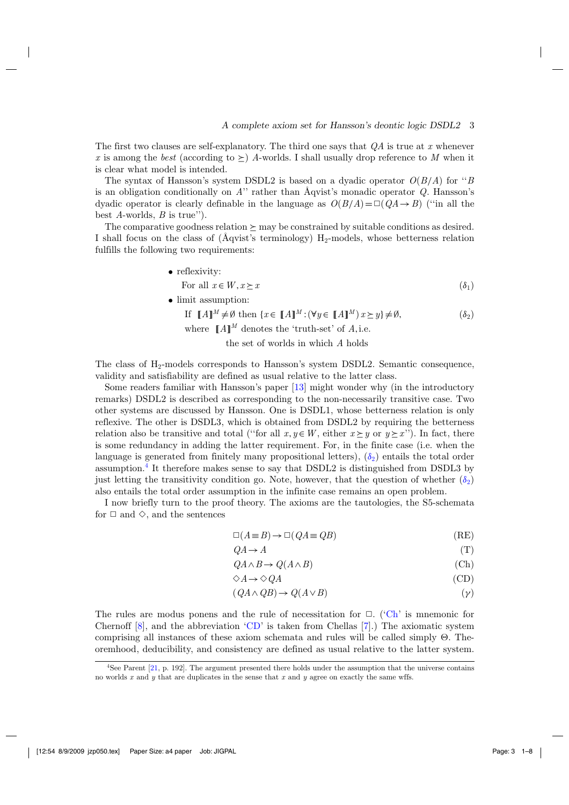<span id="page-2-0"></span>The first two clauses are self-explanatory. The third one says that *QA* is true at *x* whenever *x* is among the *best* (according to  $\succeq$ ) *A*-worlds. I shall usually drop reference to *M* when it is clear what model is intended.

The syntax of Hansson's system DSDL2 is based on a dyadic operator *O*(*B*/*A*) for ''*B* is an obligation conditionally on *A*'' rather than Åqvist's monadic operator *Q*. Hansson's dyadic operator is clearly definable in the language as  $O(B/A) = \Box (QA \rightarrow B)$  ("in all the best *A*-worlds, *B* is true'').

The comparative goodness relation  $\succeq$  may be constrained by suitable conditions as desired. I shall focus on the class of ( $\AA$ qvist's terminology) H<sub>2</sub>-models, whose betterness relation fulfills the following two requirements:

- reflexivity:
	- For all  $x \in W, x \succ x$  (δ<sub>1</sub>)
- limit assumption:

If  $[[A]]^M \neq \emptyset$  then  $\{x \in [[A]]^M : (\forall y \in [[A]]^M) \, x \geq y\} \neq \emptyset$ , ( $\delta_2$ )

where  $\mathbb{R}A\mathbb{I}^M$  denotes the 'truth-set' of *A*, i.e.

the set of worlds in which *A* holds

The class of H<sub>2</sub>-models corresponds to Hansson's system DSDL2. Semantic consequence, validity and satisfiability are defined as usual relative to the latter class.

Some readers familiar with Hansson's paper [\[13\]](#page-6-0) might wonder why (in the introductory remarks) DSDL2 is described as corresponding to the non-necessarily transitive case. Two other systems are discussed by Hansson. One is DSDL1, whose betterness relation is only reflexive. The other is DSDL3, which is obtained from DSDL2 by requiring the betterness relation also be transitive and total ("for all  $x, y \in W$ , either  $x \succeq y$  or  $y \succeq x$ "). In fact, there is some redundancy in adding the latter requirement. For, in the finite case (i.e. when the language is generated from finitely many propositional letters),  $(\delta_2)$  $(\delta_2)$  entails the total order assumption.4 It therefore makes sense to say that DSDL2 is distinguished from DSDL3 by just letting the transitivity condition go. Note, however, that the question of whether  $(\delta_2)$  $(\delta_2)$ also entails the total order assumption in the infinite case remains an open problem.

I now briefly turn to the proof theory. The axioms are the tautologies, the S5-schemata for  $\Box$  and  $\diamond$ , and the sentences

$$
\Box(A \equiv B) \to \Box(QA \equiv QB)
$$
 (RE)

$$
QA \to A \tag{T}
$$

$$
QA \wedge B \to Q(A \wedge B) \tag{Ch}
$$

$$
\Diamond A \to \Diamond QA \tag{CD}
$$

$$
(QA \land QB) \to Q(A \lor B) \tag{γ}
$$

The rules are modus ponens and the rule of necessitation for  $\Box$ . ('Ch' is mnemonic for Chernoff  $[8]$ , and the abbreviation 'CD' is taken from Chellas  $[7]$  $[7]$ .) The axiomatic system comprising all instances of these axiom schemata and rules will be called simply  $\Theta$ . Theoremhood, deducibility, and consistency are defined as usual relative to the latter system.

<sup>4</sup>See Parent [\[21,](#page-6-0) p. 192]. The argument presented there holds under the assumption that the universe contains no worlds *x* and *y* that are duplicates in the sense that *x* and *y* agree on exactly the same wffs.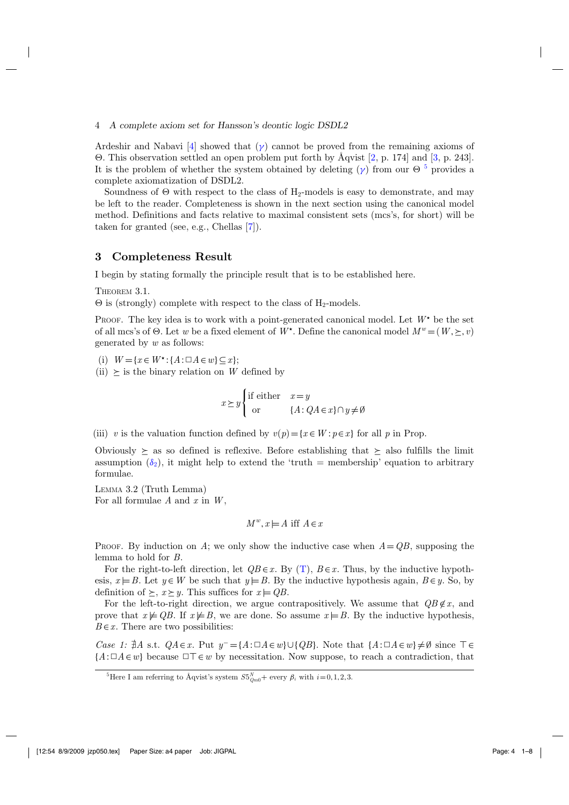#### <span id="page-3-0"></span>4 *A complete axiom set for Hansson's deontic logic DSDL2*

Ardeshir and Nabavi [\[4\]](#page-6-0) showed that  $(\gamma)$  cannot be proved from the remaining axioms of . This observation settled an open problem put forth by Åqvist [\[2](#page-6-0), p. 174] and [\[3,](#page-6-0) p. 243]. It is the problem of whether the system obtained by deleting  $(\gamma)$  from our  $\Theta$ <sup>5</sup> provides a complete axiomatization of DSDL2.

Soundness of  $\Theta$  with respect to the class of  $H_2$ -models is easy to demonstrate, and may be left to the reader. Completeness is shown in the next section using the canonical model method. Definitions and facts relative to maximal consistent sets (mcs's, for short) will be taken for granted (see, e.g., Chellas [\[7](#page-6-0)]).

### **3 Completeness Result**

I begin by stating formally the principle result that is to be established here.

THEOREM 3.1.

 $\Theta$  is (strongly) complete with respect to the class of H<sub>2</sub>-models.

PROOF. The key idea is to work with a point-generated canonical model. Let  $W^*$  be the set of all mcs's of  $\Theta$ . Let *w* be a fixed element of *W*<sup>\*</sup>. Define the canonical model  $M^w = (W, \geq, v)$ generated by *w* as follows:

(i)  $W = \{x \in W^* : \{A : \Box A \in w\} \subseteq x\};$ 

 $(ii)$  > is the binary relation on *W* defined by

 $x \geq y$ if either  $x = y$ or {*A*:*QA*∈*x*}∩*y* =∅

(iii) *v* is the valuation function defined by  $v(p) = \{x \in W : p \in x\}$  for all *p* in Prop.

Obviously  $\succeq$  as so defined is reflexive. Before establishing that  $\succeq$  also fulfills the limit assumption  $(\delta_2)$  $(\delta_2)$ , it might help to extend the 'truth = membership' equation to arbitrary formulae.

LEMMA 3.2 (Truth Lemma) For all formulae *A* and *x* in *W*,

$$
M^w, x \models A \text{ iff } A \in x
$$

PROOF. By induction on A; we only show the inductive case when  $A = QB$ , supposing the lemma to hold for *B*.

For the right-to-left direction, let  $QB \in x$ . By [\(T\)](#page-2-0),  $B \in x$ . Thus, by the inductive hypothesis,  $x \models B$ . Let  $y \in W$  be such that  $y \models B$ . By the inductive hypothesis again,  $B \in y$ . So, by definition of  $\succeq$ ,  $x \succeq y$ . This suffices for  $x \models QB$ .

For the left-to-right direction, we argue contrapositively. We assume that  $QB \notin x$ , and prove that  $x \not\models QB$ . If  $x \not\models B$ , we are done. So assume  $x \models B$ . By the inductive hypothesis,  $B \in \mathcal{X}$ . There are two possibilities:

*Case 1:*  $\sharp A$  s.t.  $QA \in x$ . Put  $y^- = \{A : \Box A \in w\} \cup \{QB\}$ . Note that  $\{A : \Box A \in w\} \neq \emptyset$  since  $\top \in$  ${A:\Box A \in w}$  because  $\Box \top \in w$  by necessitation. Now suppose, to reach a contradiction, that

<sup>&</sup>lt;sup>5</sup>Here I am referring to Åqvist's system  $S5_{Qm0}^N$ + every  $\beta_i$  with  $i=0,1,2,3$ .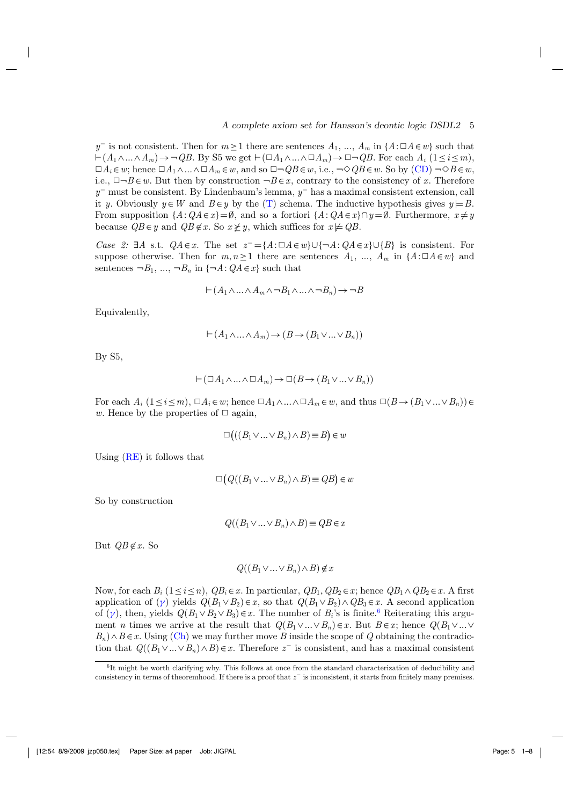*y*<sup>−</sup> is not consistent. Then for  $m \ge 1$  there are sentences  $A_1, ..., A_m$  in  $\{A : \Box A \in w\}$  such that  $\vdash (A_1 \land ... \land A_m) \rightarrow \neg QB$ . By S5 we get  $\vdash (\Box A_1 \land ... \land \Box A_m) \rightarrow \Box \neg QB$ . For each  $A_i$  ( $1 \leq i \leq m$ ),  $\Box A_i \in w$ ; hence  $\Box A_1 \wedge ... \wedge \Box A_m \in w$ , and so  $\Box \neg QB \in w$ , i.e.,  $\neg \Diamond QB \in w$ . So by [\(CD\)](#page-2-0)  $\neg \Diamond B \in w$ , i.e.,  $\Box\neg B\in w$ . But then by construction  $\neg B\in x$ , contrary to the consistency of x. Therefore *y*<sup>−</sup> must be consistent. By Lindenbaum's lemma, *y*<sup>−</sup> has a maximal consistent extension, call it *y*. Obviously  $y \in W$  and  $B \in y$  by the [\(T\)](#page-2-0) schema. The inductive hypothesis gives  $y \models B$ . From supposition  $\{A:QA \in \mathcal{X}\} = \emptyset$ , and so a fortiori  $\{A:QA \in \mathcal{X}\} \cap \mathcal{Y} = \emptyset$ . Furthermore,  $x \neq y$ because  $QB \in y$  and  $QB \notin x$ . So  $x \not\geq y$ , which suffices for  $x \not\models QB$ .

*Case 2:* ∃*A* s.t.  $QA \in x$ . The set  $z = \{A : \Box A \in w\} \cup \{\neg A : QA \in x\} \cup \{B\}$  is consistent. For suppose otherwise. Then for  $m, n \ge 1$  there are sentences  $A_1, ..., A_m$  in  $\{A : \Box A \in w\}$  and sentences  $\neg B_1$ , ...,  $\neg B_n$  in  $\{\neg A: QA \in x\}$  such that

$$
\vdash (A_1 \land \ldots \land A_m \land \neg B_1 \land \ldots \land \neg B_n) \to \neg B
$$

Equivalently,

$$
\vdash (A_1 \land \ldots \land A_m) \to (B \to (B_1 \lor \ldots \lor B_n))
$$

By S5,

$$
\vdash (\Box A_1 \land \ldots \land \Box A_m) \to \Box (B \to (B_1 \lor \ldots \lor B_n))
$$

For each  $A_i$   $(1 \leq i \leq m)$ ,  $\Box A_i \in w$ ; hence  $\Box A_1 \land \ldots \land \Box A_m \in w$ , and thus  $\Box (B \rightarrow (B_1 \lor \ldots \lor B_n)) \in$ *w*. Hence by the properties of  $\Box$  again,

$$
\Box ((B_1 \lor \dots \lor B_n) \land B) \equiv B) \in w
$$

Using [\(RE\)](#page-2-0) it follows that

$$
\Box(Q((B_1 \lor ... \lor B_n) \land B) \equiv QB) \in w
$$

So by construction

$$
Q((B_1 \vee \ldots \vee B_n) \wedge B) \equiv QB \in x
$$

But  $QB \notin x$ . So

$$
Q((B_1 \vee \ldots \vee B_n) \wedge B) \notin x
$$

Now, for each  $B_i$  (1 ≤ *i* ≤ *n*),  $QB_i \in x$ . In particular,  $QB_1$ ,  $QB_2 \in x$ ; hence  $QB_1 \wedge QB_2 \in x$ . A first application of  $(\gamma)$  yields  $Q(B_1 \vee B_2) \in x$ , so that  $Q(B_1 \vee B_2) \wedge QB_3 \in x$ . A second application of  $(\gamma)$ , then, yields  $Q(B_1 \vee B_2 \vee B_3) \in \mathcal{x}$ . The number of  $B_i$ 's is finite.<sup>6</sup> Reiterating this argument *n* times we arrive at the result that  $Q(B_1 \vee ... \vee B_n) \in x$ . But  $B \in x$ ; hence  $Q(B_1 \vee ... \vee B_n)$  $B_n \wedge B \in \mathcal{X}$ . Using [\(Ch\)](#page-2-0) we may further move *B* inside the scope of *Q* obtaining the contradiction that  $Q((B_1 \vee ... \vee B_n) \wedge B) \in \mathcal{X}$ . Therefore  $z^-$  is consistent, and has a maximal consistent

<sup>6</sup>It might be worth clarifying why. This follows at once from the standard characterization of deducibility and consistency in terms of theoremhood. If there is a proof that *z*<sup>−</sup> is inconsistent, it starts from finitely many premises.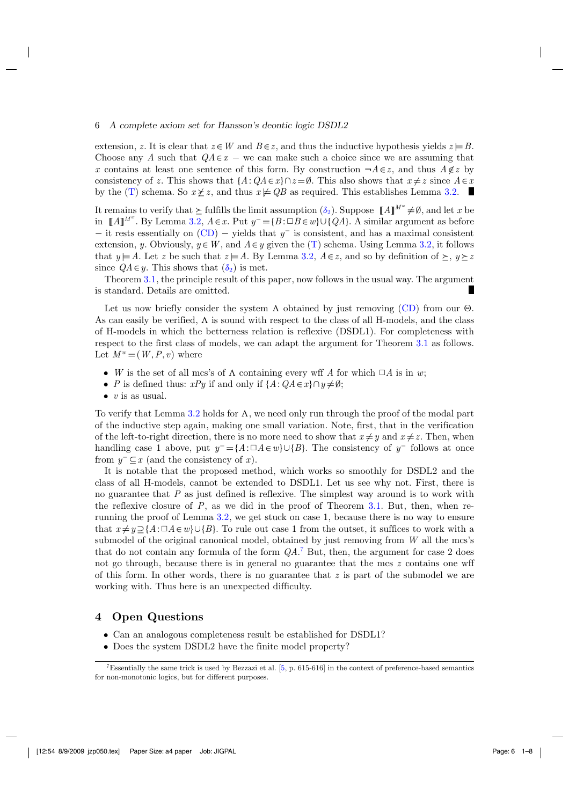#### <span id="page-5-0"></span>6 *A complete axiom set for Hansson's deontic logic DSDL2*

extension, *z*. It is clear that  $z \in W$  and  $B \in \mathbb{Z}$ , and thus the inductive hypothesis yields  $z \models B$ . Choose any *A* such that  $QA \in x$  – we can make such a choice since we are assuming that *x* contains at least one sentence of this form. By construction  $\neg A \in z$ , and thus  $A \notin z$  by consistency of *z*. This shows that  ${A : QA \in x} \cap z = \emptyset$ . This also shows that  $x \neq z$  since  $A \in x$ by the [\(T\)](#page-2-0) schema. So  $x \not\geq z$ , and thus  $x \not\models QB$  as required. This establishes Lemma [3.2.](#page-3-0)

It remains to verify that  $\geq$  fulfills the limit assumption  $(\delta_2)$  $(\delta_2)$ . Suppose  $\llbracket A \rrbracket^{M^w} \neq \emptyset$ , and let *x* be in [ $A$ ]<sup>*Mw*</sup>. By Lemma [3.2,](#page-3-0) *A*∈*x*. Put  $y^- = {B : ∪ B ∈ w} ∪ {QA}$ . A similar argument as before − it rests essentially on [\(CD\)](#page-2-0) − yields that *y*<sup>−</sup> is consistent, and has a maximal consistent extension, *y*. Obviously,  $y \in W$ , and  $A \in y$  given the [\(T\)](#page-2-0) schema. Using Lemma [3.2,](#page-3-0) it follows that  $y \models A$ . Let z be such that  $z \models A$ . By Lemma [3.2,](#page-3-0)  $A \in z$ , and so by definition of  $\succeq, y \succeq z$ since  $QA \in \mathcal{U}$ . This shows that  $(\delta_2)$  $(\delta_2)$  is met.

Theorem [3.1,](#page-3-0) the principle result of this paper, now follows in the usual way. The argument is standard. Details are omitted.

Let us now briefly consider the system  $\Lambda$  obtained by just removing [\(CD\)](#page-2-0) from our  $\Theta$ . As can easily be verified,  $\Lambda$  is sound with respect to the class of all H-models, and the class of H-models in which the betterness relation is reflexive (DSDL1). For completeness with respect to the first class of models, we can adapt the argument for Theorem [3.1](#page-3-0) as follows. Let  $M^w = (W, P, v)$  where

- *W* is the set of all mcs's of  $\Lambda$  containing every wff *A* for which  $\Box A$  is in *w*;
- *P* is defined thus:  $xPy$  if and only if  $\{A:QA \in x\} \cap y \neq \emptyset$ ;
- *v* is as usual.

To verify that Lemma [3.2](#page-3-0) holds for  $\Lambda$ , we need only run through the proof of the modal part of the inductive step again, making one small variation. Note, first, that in the verification of the left-to-right direction, there is no more need to show that  $x \neq y$  and  $x \neq z$ . Then, when handling case 1 above, put  $y^- = \{A : \Box A \in w\} \cup \{B\}$ . The consistency of  $y^-$  follows at once from *y*<sup>−</sup> ⊆*x* (and the consistency of *x*).

It is notable that the proposed method, which works so smoothly for DSDL2 and the class of all H-models, cannot be extended to DSDL1. Let us see why not. First, there is no guarantee that *P* as just defined is reflexive. The simplest way around is to work with the reflexive closure of *P*, as we did in the proof of Theorem [3.1.](#page-3-0) But, then, when rerunning the proof of Lemma [3.2,](#page-3-0) we get stuck on case 1, because there is no way to ensure that  $x \neq y \supseteq {A : \Box A \in w} \cup {B}$ . To rule out case 1 from the outset, it suffices to work with a submodel of the original canonical model, obtained by just removing from *W* all the mcs's that do not contain any formula of the form *QA*. <sup>7</sup> But, then, the argument for case 2 does not go through, because there is in general no guarantee that the mcs *z* contains one wff of this form. In other words, there is no guarantee that *z* is part of the submodel we are working with. Thus here is an unexpected difficulty.

#### **4 Open Questions**

- Can an analogous completeness result be established for DSDL1?
- Does the system DSDL2 have the finite model property?

<sup>7</sup>Essentially the same trick is used by Bezzazi et al. [\[5](#page-6-0), p. 615-616] in the context of preference-based semantics for non-monotonic logics, but for different purposes.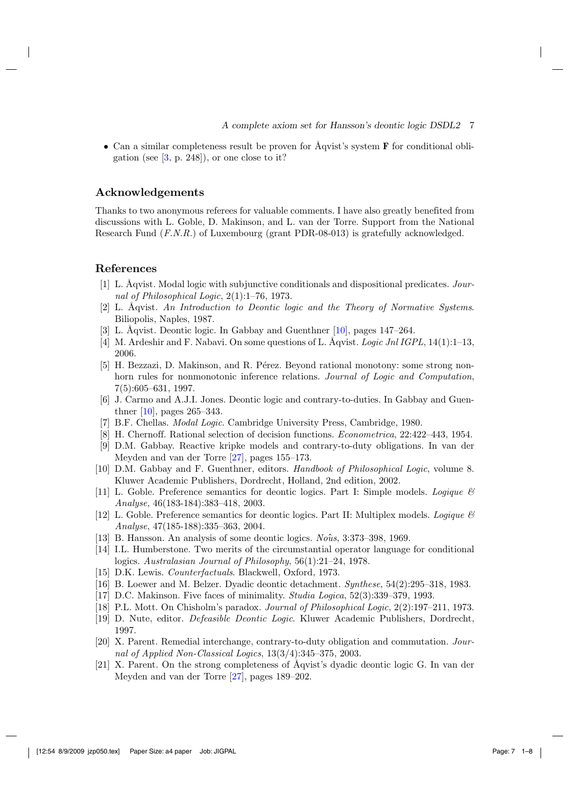<span id="page-6-0"></span>• Can a similar completeness result be proven for Åqvist's system **F** for conditional obligation (see  $[3, p. 248]$ ), or one close to it?

## **Acknowledgements**

Thanks to two anonymous referees for valuable comments. I have also greatly benefited from discussions with L. Goble, D. Makinson, and L. van der Torre. Support from the National Research Fund (*F.N.R.*) of Luxembourg (grant PDR-08-013) is gratefully acknowledged.

## **References**

- [1] L. Åqvist. Modal logic with subjunctive conditionals and dispositional predicates. *Journal of Philosophical Logic*, 2(1):1–76, 1973.
- [2] L. Åqvist. *An Introduction to Deontic logic and the Theory of Normative Systems*. Biliopolis, Naples, 1987.
- [3] L. Åqvist. Deontic logic. In Gabbay and Guenthner [10], pages 147–264.
- [4] M. Ardeshir and F. Nabavi. On some questions of L. Åqvist. *Logic Jnl IGPL*, 14(1):1–13, 2006.
- [5] H. Bezzazi, D. Makinson, and R. Pérez. Beyond rational monotony: some strong nonhorn rules for nonmonotonic inference relations. *Journal of Logic and Computation*, 7(5):605–631, 1997.
- [6] J. Carmo and A.J.I. Jones. Deontic logic and contrary-to-duties. In Gabbay and Guenthner [10], pages 265–343.
- [7] B.F. Chellas. *Modal Logic*. Cambridge University Press, Cambridge, 1980.
- [8] H. Chernoff. Rational selection of decision functions. *Econometrica*, 22:422–443, 1954.
- [9] D.M. Gabbay. Reactive kripke models and contrary-to-duty obligations. In van der Meyden and van der Torre [\[27](#page-7-0)], pages 155–173.
- [10] D.M. Gabbay and F. Guenthner, editors. *Handbook of Philosophical Logic*, volume 8. Kluwer Academic Publishers, Dordrecht, Holland, 2nd edition, 2002.
- [11] L. Goble. Preference semantics for deontic logics. Part I: Simple models. *Logique & Analyse*, 46(183-184):383–418, 2003.
- [12] L. Goble. Preference semantics for deontic logics. Part II: Multiplex models. *Logique & Analyse*, 47(185-188):335–363, 2004.
- [13] B. Hansson. An analysis of some deontic logics. *Nous*ˆ , 3:373–398, 1969.
- [14] I.L. Humberstone. Two merits of the circumstantial operator language for conditional logics. *Australasian Journal of Philosophy*, 56(1):21–24, 1978.
- [15] D.K. Lewis. *Counterfactuals*. Blackwell, Oxford, 1973.
- [16] B. Loewer and M. Belzer. Dyadic deontic detachment. *Synthese*, 54(2):295–318, 1983.
- [17] D.C. Makinson. Five faces of minimality. *Studia Logica*, 52(3):339–379, 1993.
- [18] P.L. Mott. On Chisholm's paradox. *Journal of Philosophical Logic*, 2(2):197–211, 1973.
- [19] D. Nute, editor. *Defeasible Deontic Logic*. Kluwer Academic Publishers, Dordrecht, 1997.
- [20] X. Parent. Remedial interchange, contrary-to-duty obligation and commutation. *Journal of Applied Non-Classical Logics*, 13(3/4):345–375, 2003.
- [21] X. Parent. On the strong completeness of Åqvist's dyadic deontic logic G. In van der Meyden and van der Torre [\[27](#page-7-0)], pages 189–202.